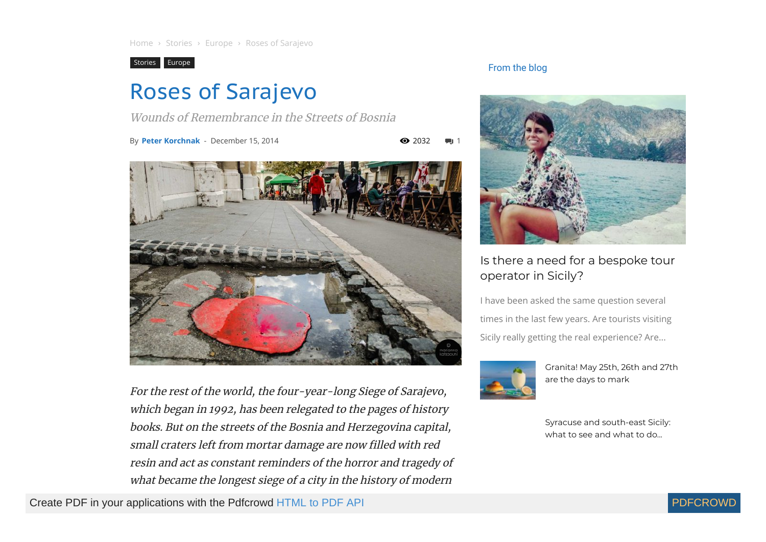[Stories](https://compasscultura.com/category/stories/) [Europe](https://compasscultura.com/category/stories/europe/)

# Roses of Sarajevo

Wounds of Remembrance in the Streets of Bosnia

By [Peter Korchnak](https://compasscultura.com/author/peterkorchnak/) - December 15, 2014

 $\bullet$  2032



For the rest of the world, the four-year-long Siege of Sarajevo, which began in 1992, has been relegated to the pages of history books. But on the streets of the Bosnia and Herzegovina capital, small craters left from mortar damage are now filled with red resin and act as constant reminders of the horror and tragedy of what became the longest siege of <sup>a</sup> city in the history of modern

Create PDF in your applications with the Pdfcrowd [HTML to PDF API](https://pdfcrowd.com/doc/api/?ref=pdf) PDF API [PDFCROWD](https://pdfcrowd.com/?ref=pdf) CREATED AT A PDFCROWD PDFCROWD

### From the blog



# Is there a need for a bespoke tour [operator](https://compasscultura.com/is-there-a-need-for-a-bespoke-tour-operator-in-sicily/) in Sicily?

I have been asked the same question several times in the last few years. Are tourists visiting Sicily really getting the real experience? Are...



[Granita!](https://compasscultura.com/granita-may-25th-26th-and-27th-are-the-days-to-mark/) May 25th, 26th and 27th are the days to mark

Syracuse and [south-east](https://compasscultura.com/syracuse-and-south-east-sicily-what-to-see-and-what-to-do-by-the-locals/) Sicily: what to see and what to do...

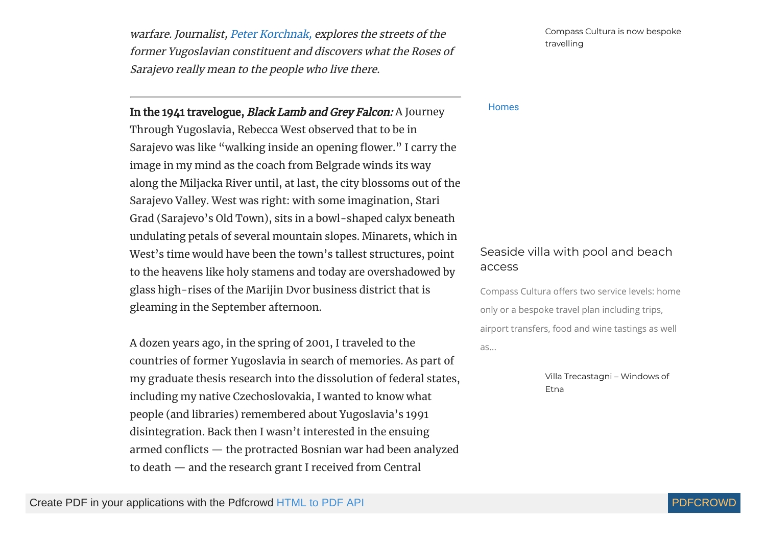warfare. Journalist, Peter [Korchnak,](http://www.peterkorchnak.com/) explores the streets of the former Yugoslavian constituent and discovers what the Roses of Sarajevo really mean to the people who live there.

In the 1941 travelogue, Black Lamb and Grey Falcon: A Journey

**Homes** 

Through Yugoslavia, Rebecca West observed that to be in Sarajevo was like "walking inside an opening flower." I carry the image in my mind as the coach from Belgrade winds its way along the Miljacka River until, at last, the city blossoms out of the Sarajevo Valley. West was right: with some imagination, Stari Grad (Sarajevo's Old Town), sits in a bowl-shaped calyx beneath undulating petals of several mountain slopes. Minarets, which in West's time would have been the town's tallest structures, point to the heavens like holy stamens and today are overshadowed by glass high-rises of the Marijin Dvor business district that is gleaming in the September afternoon.

A dozen years ago, in the spring of 2001, I traveled to the countries of former Yugoslavia in search of memories. As part of my graduate thesis research into the dissolution of federal states, including my native Czechoslovakia, I wanted to know what people (and libraries) remembered about Yugoslavia's 1991 disintegration. Back then I wasn't interested in the ensuing armed conflicts  $-$  the protracted Bosnian war had been analyzed to death — and the research grant I received from Central

[Seaside](https://compasscultura.com/seaside-villa-with-pool-and-beach-access/) villa with pool and beach access

Compass Cultura offers two service levels: home only or a bespoke travel plan including trips, airport transfers, food and wine tastings as well as...

> Villa [Trecastagni](https://compasscultura.com/villa-trecastagni-windows-of-etna/) – Windows of Etna

Compass Cultura is now bespoke

[travelling](https://compasscultura.com/compass-cultura-is-now-bespoke-travelling/)

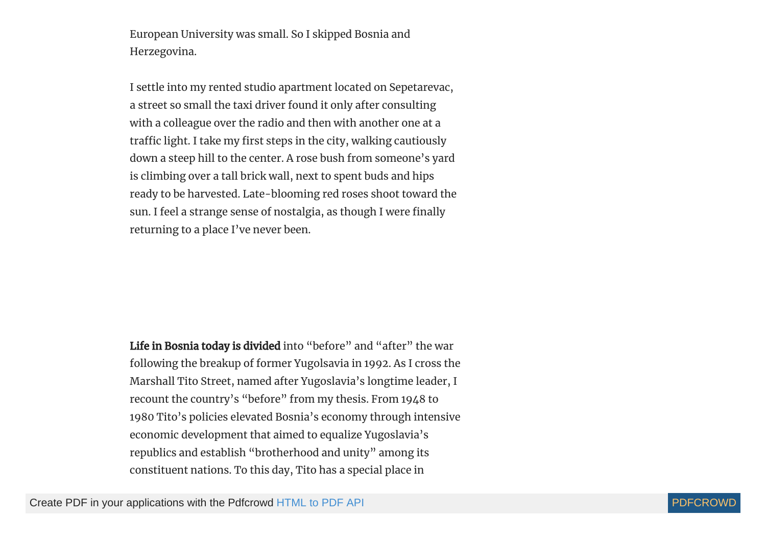European University was small. So I skipped Bosnia and Herzegovina.

I settle into my rented studio apartment located on Sepetarevac, a street so small the taxi driver found it only after consulting with a colleague over the radio and then with another one at a traffic light. I take my first steps in the city, walking cautiously down a steep hill to the center. A rose bush from someone's yard is climbing over a tall brick wall, next to spent buds and hips ready to be harvested. Late-blooming red roses shoot toward the sun. I feel a strange sense of nostalgia, as though I were finally returning to a place I've never been.

Life in Bosnia today is divided into "before" and "after" the war following the breakup of former Yugolsavia in 1992. As I cross the Marshall Tito Street, named after Yugoslavia's longtime leader, I recount the country's "before" from my thesis. From 1948 to 1980 Tito's policies elevated Bosnia's economy through intensive economic development that aimed to equalize Yugoslavia's republics and establish "brotherhood and unity" among its constituent nations. To this day, Tito has a special place in

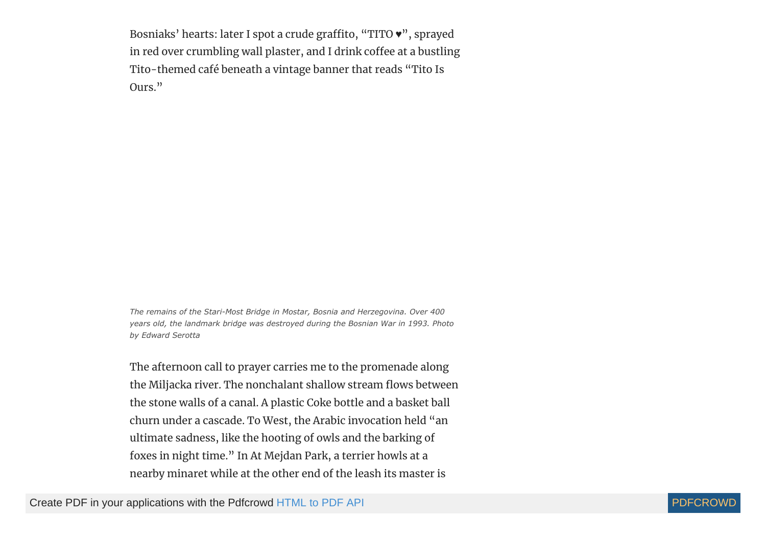Bosniaks' hearts: later I spot a crude graffito, "TITO  $\bullet$ ", sprayed in red over crumbling wall plaster, and I drink coffee at a bustling Tito-themed café beneath a vintage banner that reads "Tito Is Ours."

*The remains of the Stari-Most Bridge in Mostar, Bosnia and Herzegovina. Over 400 years old, the landmark bridge was destroyed during the Bosnian War in 1993. Photo by Edward Serotta*

The afternoon call to prayer carries me to the promenade along the Miljacka river. The nonchalant shallow stream flows between the stone walls of a canal. A plastic Coke bottle and a basket ball churn under a cascade. To West, the Arabic invocation held "an ultimate sadness, like the hooting of owls and the barking of foxes in night time." In At Mejdan Park, a terrier howls at a nearby minaret while at the other end of the leash its master is

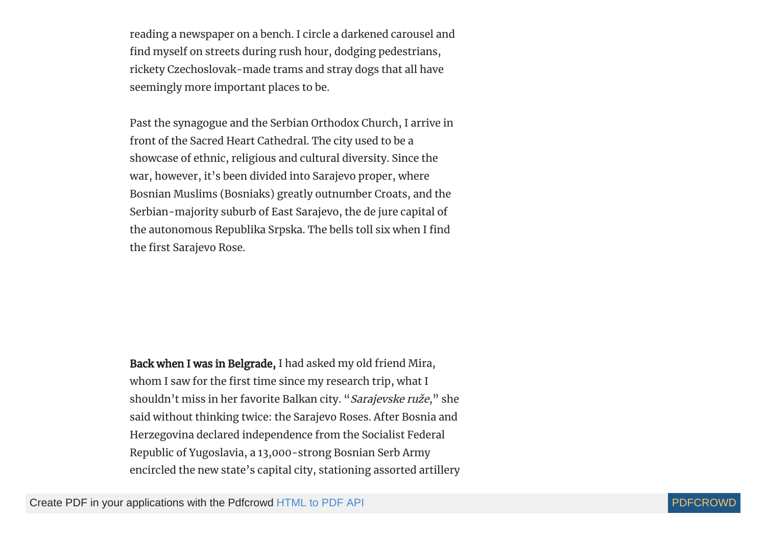reading a newspaper on a bench. I circle a darkened carousel and find myself on streets during rush hour, dodging pedestrians, rickety Czechoslovak-made trams and stray dogs that all have seemingly more important places to be.

Past the synagogue and the Serbian Orthodox Church, I arrive in front of the Sacred Heart Cathedral. The city used to be a showcase of ethnic, religious and cultural diversity. Since the war, however, it's been divided into Sarajevo proper, where Bosnian Muslims (Bosniaks) greatly outnumber Croats, and the Serbian-majority suburb of East Sarajevo, the de jure capital of the autonomous Republika Srpska. The bells toll six when I find the first Sarajevo Rose.

Back when I was in Belgrade, I had asked my old friend Mira, whom I saw for the first time since my research trip, what I shouldn't miss in her favorite Balkan city. "Sarajevske ruže," she said without thinking twice: the Sarajevo Roses. After Bosnia and Herzegovina declared independence from the Socialist Federal Republic of Yugoslavia, a 13,000-strong Bosnian Serb Army encircled the new state's capital city, stationing assorted artillery

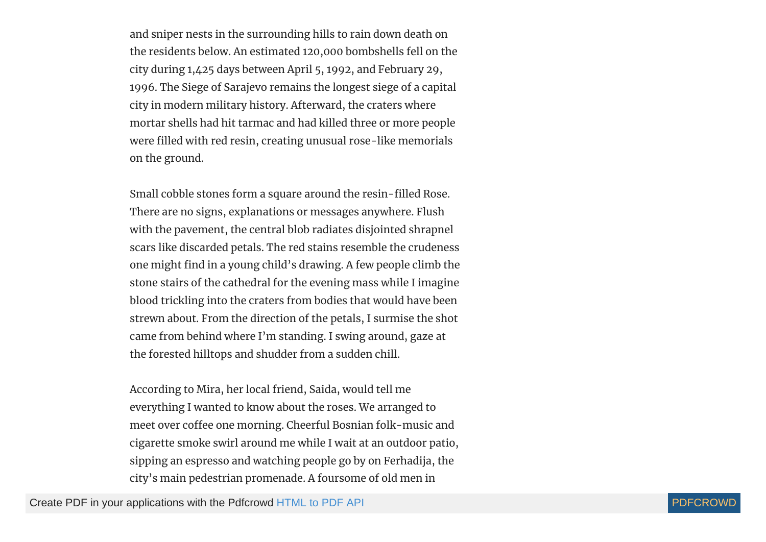and sniper nests in the surrounding hills to rain down death on the residents below. An estimated 120,000 bombshells fell on the city during 1,425 days between April 5, 1992, and February 29, 1996. The Siege of Sarajevo remains the longest siege of a capital city in modern military history. Afterward, the craters where mortar shells had hit tarmac and had killed three or more people were filled with red resin, creating unusual rose-like memorials on the ground.

Small cobble stones form a square around the resin-filled Rose. There are no signs, explanations or messages anywhere. Flush with the pavement, the central blob radiates disjointed shrapnel scars like discarded petals. The red stains resemble the crudeness one might find in a young child's drawing. A few people climb the stone stairs of the cathedral for the evening mass while I imagine blood trickling into the craters from bodies that would have been strewn about. From the direction of the petals, I surmise the shot came from behind where I'm standing. I swing around, gaze at the forested hilltops and shudder from a sudden chill.

According to Mira, her local friend, Saida, would tell me everything I wanted to know about the roses. We arranged to meet over coffee one morning. Cheerful Bosnian folk-music and cigarette smoke swirl around me while I wait at an outdoor patio, sipping an espresso and watching people go by on Ferhadija, the city's main pedestrian promenade. A foursome of old men in

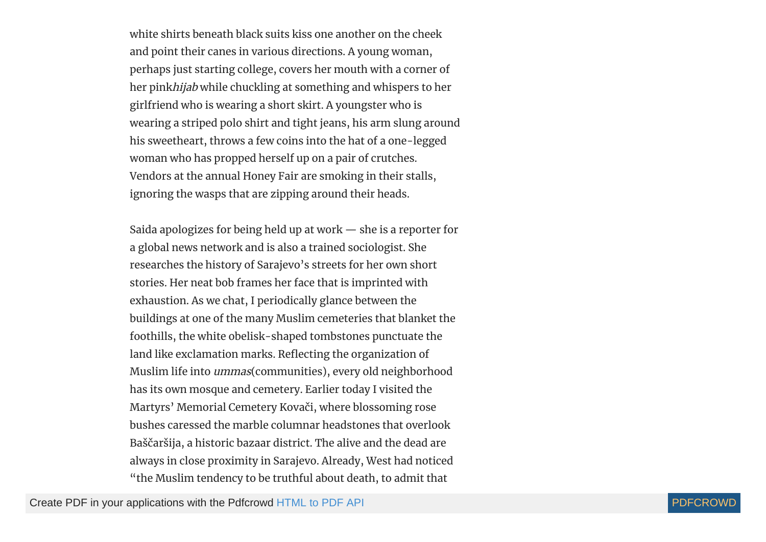white shirts beneath black suits kiss one another on the cheek and point their canes in various directions. A young woman, perhaps just starting college, covers her mouth with a corner of her pinkhijab while chuckling at something and whispers to her girlfriend who is wearing a short skirt. A youngster who is wearing a striped polo shirt and tight jeans, his arm slung around his sweetheart, throws a few coins into the hat of a one-legged woman who has propped herself up on a pair of crutches. Vendors at the annual Honey Fair are smoking in their stalls, ignoring the wasps that are zipping around their heads.

Saida apologizes for being held up at work — she is a reporter for a global news network and is also a trained sociologist. She researches the history of Sarajevo's streets for her own short stories. Her neat bob frames her face that is imprinted with exhaustion. As we chat, I periodically glance between the buildings at one of the many Muslim cemeteries that blanket the foothills, the white obelisk-shaped tombstones punctuate the land like exclamation marks. Reflecting the organization of Muslim life into ummas(communities), every old neighborhood has its own mosque and cemetery. Earlier today I visited the Martyrs' Memorial Cemetery Kovači, where blossoming rose bushes caressed the marble columnar headstones that overlook Baščaršija, a historic bazaar district. The alive and the dead are always in close proximity in Sarajevo. Already, West had noticed "the Muslim tendency to be truthful about death, to admit that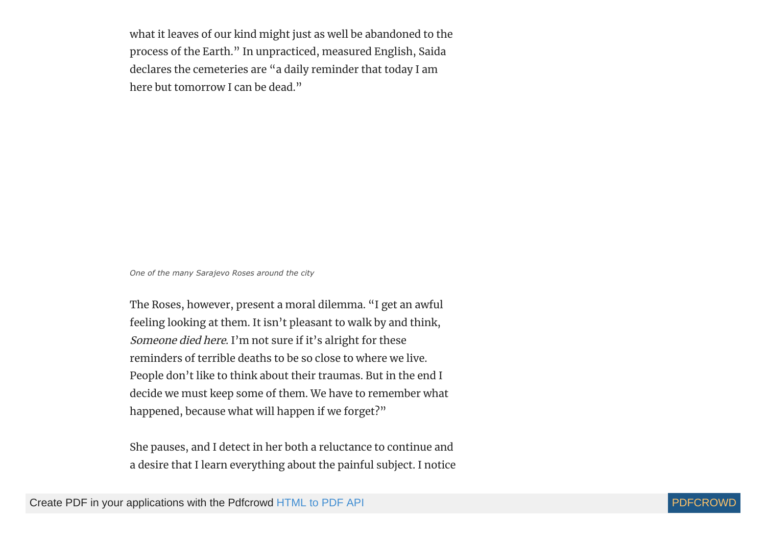what it leaves of our kind might just as well be abandoned to the process of the Earth." In unpracticed, measured English, Saida declares the cemeteries are "a daily reminder that today I am here but tomorrow I can be dead."

*One of the many Sarajevo Roses around the city*

The Roses, however, present a moral dilemma. "I get an awful feeling looking at them. It isn't pleasant to walk by and think, Someone died here. I'm not sure if it's alright for these reminders of terrible deaths to be so close to where we live. People don't like to think about their traumas. But in the end I decide we must keep some of them. We have to remember what happened, because what will happen if we forget?"

She pauses, and I detect in her both a reluctance to continue and a desire that I learn everything about the painful subject. I notice

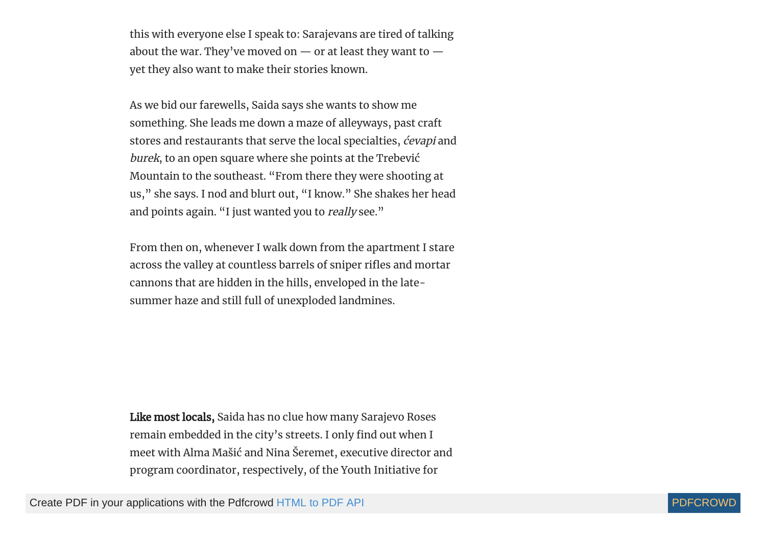this with everyone else I speak to: Sarajevans are tired of talking about the war. They've moved on  $-$  or at least they want to  $$ yet they also want to make their stories known.

As we bid our farewells, Saida says she wants to show me something. She leads me down a maze of alleyways, past craft stores and restaurants that serve the local specialties, ćevapi and burek, to an open square where she points at the Trebević Mountain to the southeast. "From there they were shooting at us," she says. I nod and blurt out, "I know." She shakes her head and points again. "I just wanted you to really see."

From then on, whenever I walk down from the apartment I stare across the valley at countless barrels of sniper rifles and mortar cannons that are hidden in the hills, enveloped in the latesummer haze and still full of unexploded landmines.

Like most locals, Saida has no clue how many Sarajevo Roses remain embedded in the city's streets. I only find out when I meet with Alma Mašić and Nina Šeremet, executive director and program coordinator, respectively, of the Youth Initiative for

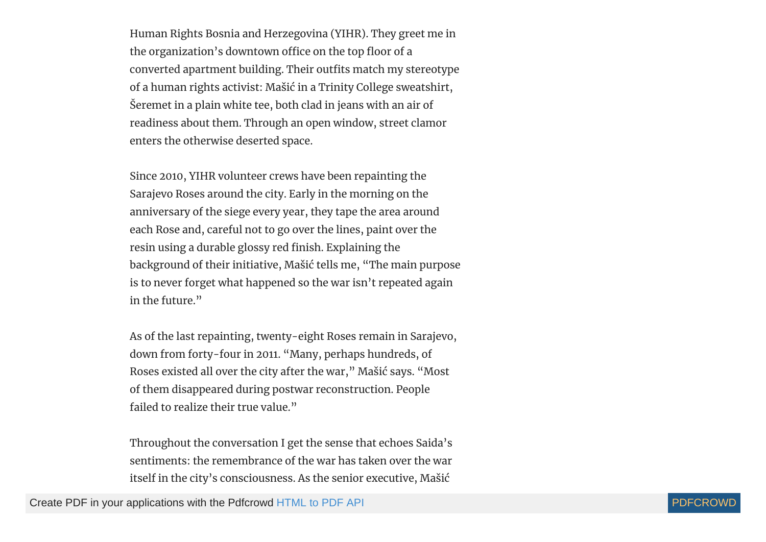Human Rights Bosnia and Herzegovina (YIHR). They greet me in the organization's downtown office on the top floor of a converted apartment building. Their outfits match my stereotype of a human rights activist: Mašić in a Trinity College sweatshirt, Šeremet in a plain white tee, both clad in jeans with an air of readiness about them. Through an open window, street clamor enters the otherwise deserted space.

Since 2010, YIHR volunteer crews have been repainting the Sarajevo Roses around the city. Early in the morning on the anniversary of the siege every year, they tape the area around each Rose and, careful not to go over the lines, paint over the resin using a durable glossy red finish. Explaining the background of their initiative, Mašić tells me, "The main purpose is to never forget what happened so the war isn't repeated again in the future."

As of the last repainting, twenty-eight Roses remain in Sarajevo, down from forty-four in 2011. "Many, perhaps hundreds, of Roses existed all over the city after the war," Mašić says. "Most of them disappeared during postwar reconstruction. People failed to realize their true value."

Throughout the conversation I get the sense that echoes Saida's sentiments: the remembrance of the war has taken over the war itself in the city's consciousness. As the senior executive, Mašić

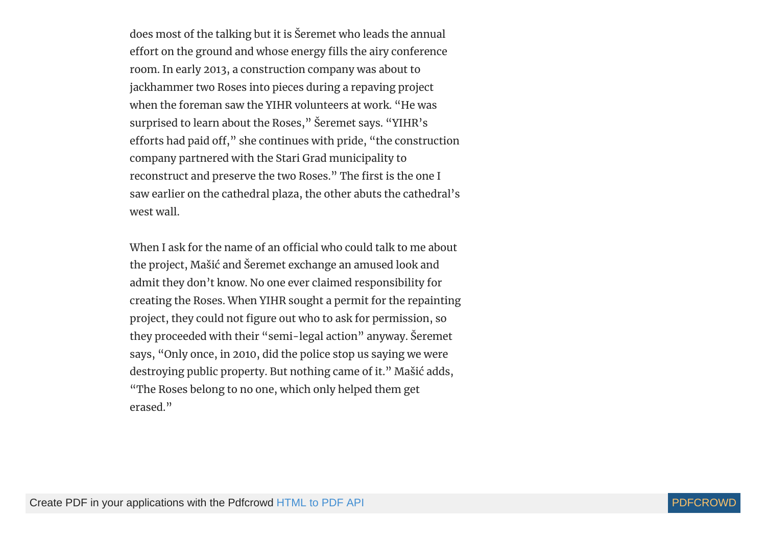does most of the talking but it is Šeremet who leads the annual effort on the ground and whose energy fills the airy conference room. In early 2013, a construction company was about to jackhammer two Roses into pieces during a repaving project when the foreman saw the YIHR volunteers at work. "He was surprised to learn about the Roses," Šeremet says. "YIHR's efforts had paid off," she continues with pride, "the construction company partnered with the Stari Grad municipality to reconstruct and preserve the two Roses." The first is the one I saw earlier on the cathedral plaza, the other abuts the cathedral's west wall.

When I ask for the name of an official who could talk to me about the project, Mašić and Šeremet exchange an amused look and admit they don't know. No one ever claimed responsibility for creating the Roses. When YIHR sought a permit for the repainting project, they could not figure out who to ask for permission, so they proceeded with their "semi-legal action" anyway. Šeremet says, "Only once, in 2010, did the police stop us saying we were destroying public property. But nothing came of it." Mašić adds, "The Roses belong to no one, which only helped them get erased."

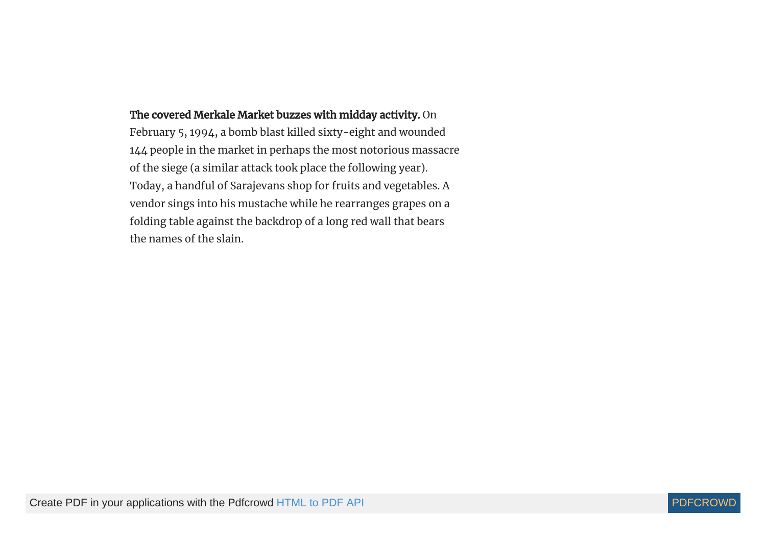### The covered Merkale Market buzzes with midday activity. On

February 5, 1994, a bomb blast killed sixty-eight and wounded 144 people in the market in perhaps the most notorious massacre of the siege (a similar attack took place the following year). Today, a handful of Sarajevans shop for fruits and vegetables. A vendor sings into his mustache while he rearranges grapes on a folding table against the backdrop of a long red wall that bears the names of the slain.

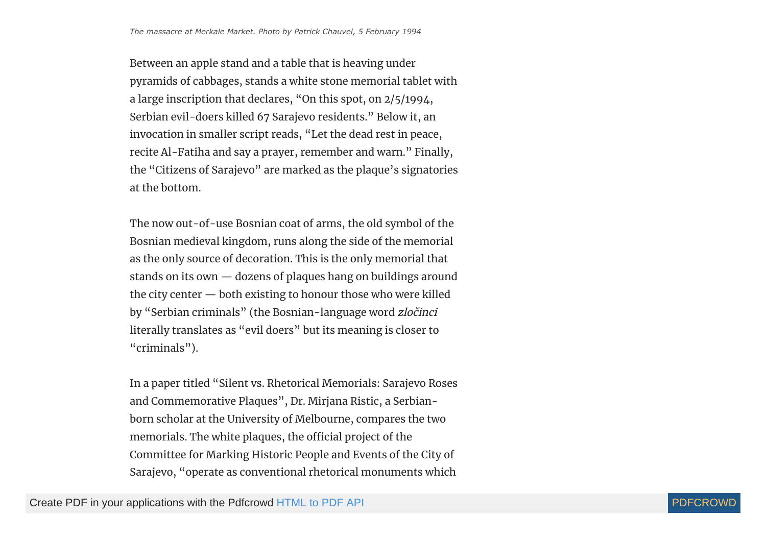Between an apple stand and a table that is heaving under pyramids of cabbages, stands a white stone memorial tablet with a large inscription that declares, "On this spot, on 2/5/1994, Serbian evil-doers killed 67 Sarajevo residents." Below it, an invocation in smaller script reads, "Let the dead rest in peace, recite Al-Fatiha and say a prayer, remember and warn." Finally, the "Citizens of Sarajevo" are marked as the plaque's signatories at the bottom.

The now out-of-use Bosnian coat of arms, the old symbol of the Bosnian medieval kingdom, runs along the side of the memorial as the only source of decoration. This is the only memorial that stands on its own — dozens of plaques hang on buildings around the city center — both existing to honour those who were killed by "Serbian criminals" (the Bosnian-language word zločinci literally translates as "evil doers" but its meaning is closer to "criminals").

In a paper titled "Silent vs. Rhetorical Memorials: Sarajevo Roses and Commemorative Plaques", Dr. Mirjana Ristic, a Serbianborn scholar at the University of Melbourne, compares the two memorials. The white plaques, the official project of the Committee for Marking Historic People and Events of the City of Sarajevo, "operate as conventional rhetorical monuments which

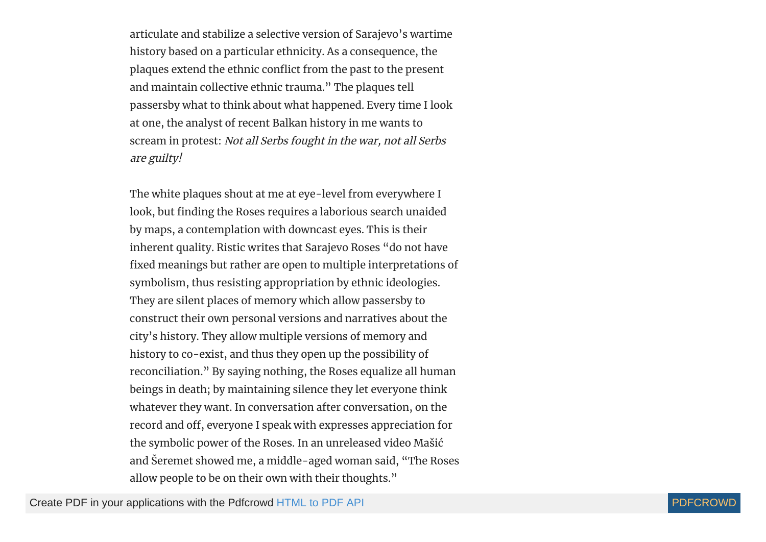articulate and stabilize a selective version of Sarajevo's wartime history based on a particular ethnicity. As a consequence, the plaques extend the ethnic conflict from the past to the present and maintain collective ethnic trauma." The plaques tell passersby what to think about what happened. Every time I look at one, the analyst of recent Balkan history in me wants to scream in protest: Not all Serbs fought in the war, not all Serbs are guilty!

The white plaques shout at me at eye-level from everywhere I look, but finding the Roses requires a laborious search unaided by maps, a contemplation with downcast eyes. This is their inherent quality. Ristic writes that Sarajevo Roses "do not have fixed meanings but rather are open to multiple interpretations of symbolism, thus resisting appropriation by ethnic ideologies. They are silent places of memory which allow passersby to construct their own personal versions and narratives about the city's history. They allow multiple versions of memory and history to co-exist, and thus they open up the possibility of reconciliation." By saying nothing, the Roses equalize all human beings in death; by maintaining silence they let everyone think whatever they want. In conversation after conversation, on the record and off, everyone I speak with expresses appreciation for the symbolic power of the Roses. In an unreleased video Mašić and Šeremet showed me, a middle-aged woman said, "The Roses allow people to be on their own with their thoughts."

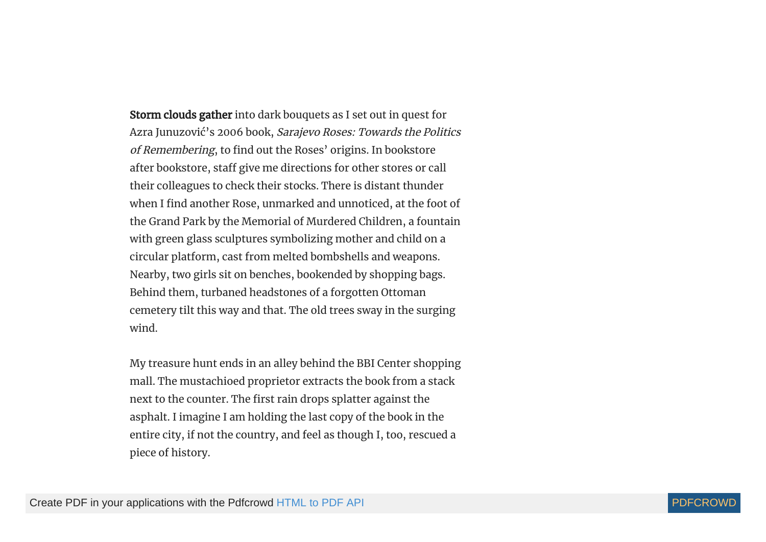Storm clouds gather into dark bouquets as I set out in quest for Azra Junuzović's 2006 book, Sarajevo Roses: Towards the Politics of Remembering, to find out the Roses' origins. In bookstore after bookstore, staff give me directions for other stores or call their colleagues to check their stocks. There is distant thunder when I find another Rose, unmarked and unnoticed, at the foot of the Grand Park by the Memorial of Murdered Children, a fountain with green glass sculptures symbolizing mother and child on a circular platform, cast from melted bombshells and weapons. Nearby, two girls sit on benches, bookended by shopping bags. Behind them, turbaned headstones of a forgotten Ottoman cemetery tilt this way and that. The old trees sway in the surging wind.

My treasure hunt ends in an alley behind the BBI Center shopping mall. The mustachioed proprietor extracts the book from a stack next to the counter. The first rain drops splatter against the asphalt. I imagine I am holding the last copy of the book in the entire city, if not the country, and feel as though I, too, rescued a piece of history.

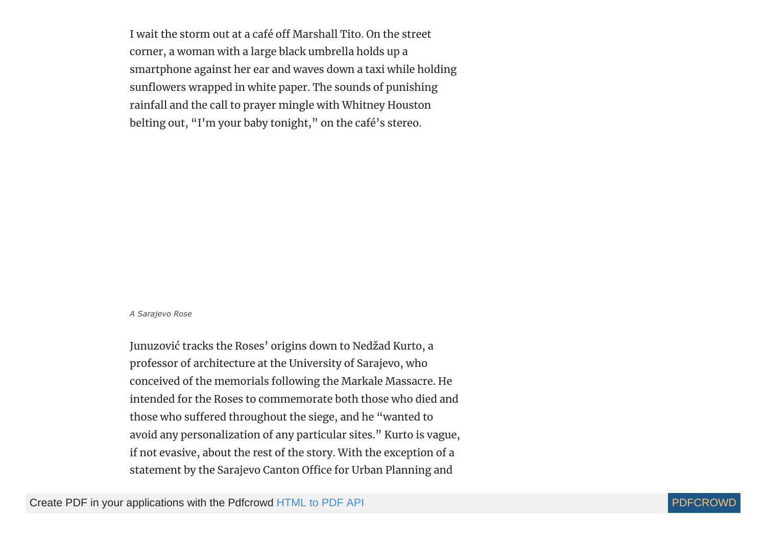I wait the storm out at a café off Marshall Tito. On the street corner, a woman with a large black umbrella holds up a smartphone against her ear and waves down a taxi while holding sunflowers wrapped in white paper. The sounds of punishing rainfall and the call to prayer mingle with Whitney Houston belting out, "I'm your baby tonight," on the café's stereo.

#### *A Sarajevo Rose*

Junuzović tracks the Roses' origins down to Nedžad Kurto, a professor of architecture at the University of Sarajevo, who conceived of the memorials following the Markale Massacre. He intended for the Roses to commemorate both those who died and those who suffered throughout the siege, and he "wanted to avoid any personalization of any particular sites." Kurto is vague, if not evasive, about the rest of the story. With the exception of a statement by the Sarajevo Canton Office for Urban Planning and

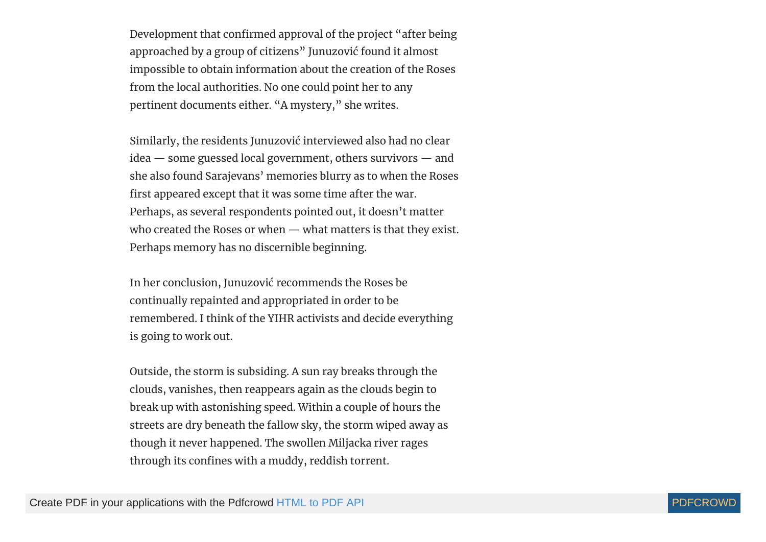Development that confirmed approval of the project "after being approached by a group of citizens" Junuzović found it almost impossible to obtain information about the creation of the Roses from the local authorities. No one could point her to any pertinent documents either. "A mystery," she writes.

Similarly, the residents Junuzović interviewed also had no clear idea — some guessed local government, others survivors — and she also found Sarajevans' memories blurry as to when the Roses first appeared except that it was some time after the war. Perhaps, as several respondents pointed out, it doesn't matter who created the Roses or when — what matters is that they exist. Perhaps memory has no discernible beginning.

In her conclusion, Junuzović recommends the Roses be continually repainted and appropriated in order to be remembered. I think of the YIHR activists and decide everything is going to work out.

Outside, the storm is subsiding. A sun ray breaks through the clouds, vanishes, then reappears again as the clouds begin to break up with astonishing speed. Within a couple of hours the streets are dry beneath the fallow sky, the storm wiped away as though it never happened. The swollen Miljacka river rages through its confines with a muddy, reddish torrent.

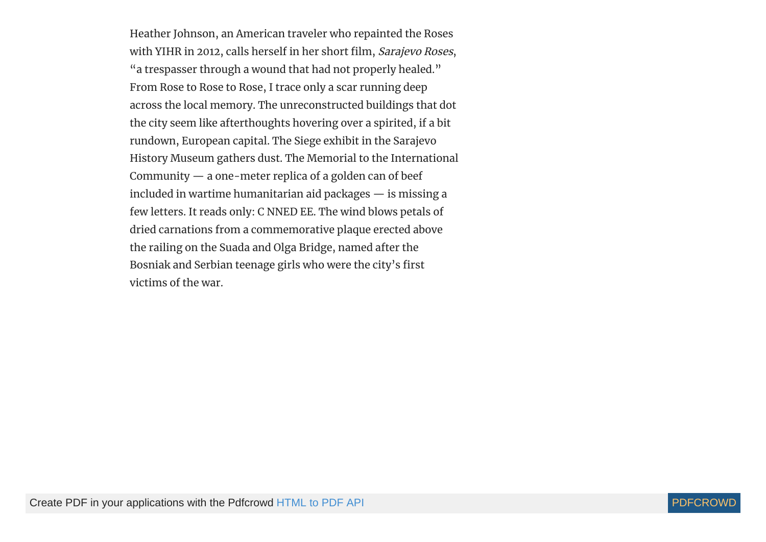Heather Johnson, an American traveler who repainted the Roses with YIHR in 2012, calls herself in her short film, Sarajevo Roses, "a trespasser through a wound that had not properly healed." From Rose to Rose to Rose, I trace only a scar running deep across the local memory. The unreconstructed buildings that dot the city seem like afterthoughts hovering over a spirited, if a bit rundown, European capital. The Siege exhibit in the Sarajevo History Museum gathers dust. The Memorial to the International Community — a one-meter replica of a golden can of beef included in wartime humanitarian aid packages — is missing a few letters. It reads only: C NNED EE. The wind blows petals of dried carnations from a commemorative plaque erected above the railing on the Suada and Olga Bridge, named after the Bosniak and Serbian teenage girls who were the city's first victims of the war.

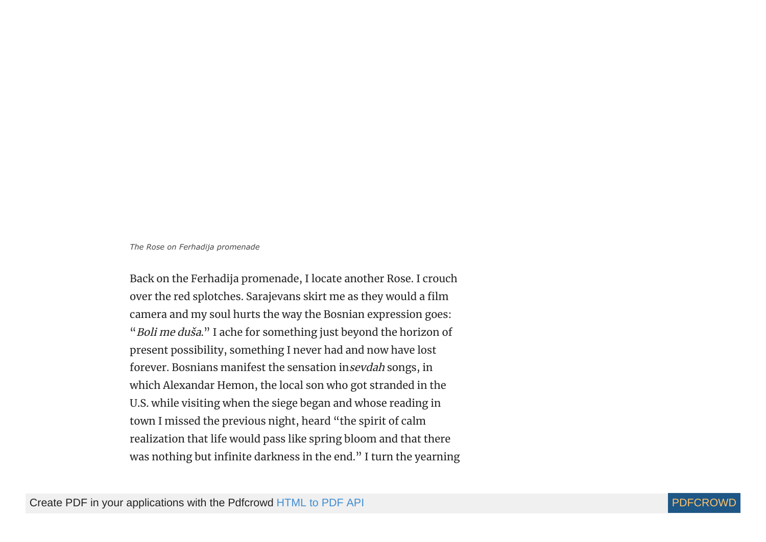#### *The Rose on Ferhadija promenade*

Back on the Ferhadija promenade, I locate another Rose. I crouch over the red splotches. Sarajevans skirt me as they would a film camera and my soul hurts the way the Bosnian expression goes: "Boli me duša." I ache for something just beyond the horizon of present possibility, something I never had and now have lost forever. Bosnians manifest the sensation insevdah songs, in which Alexandar Hemon, the local son who got stranded in the U.S. while visiting when the siege began and whose reading in town I missed the previous night, heard "the spirit of calm realization that life would pass like spring bloom and that there was nothing but infinite darkness in the end." I turn the yearning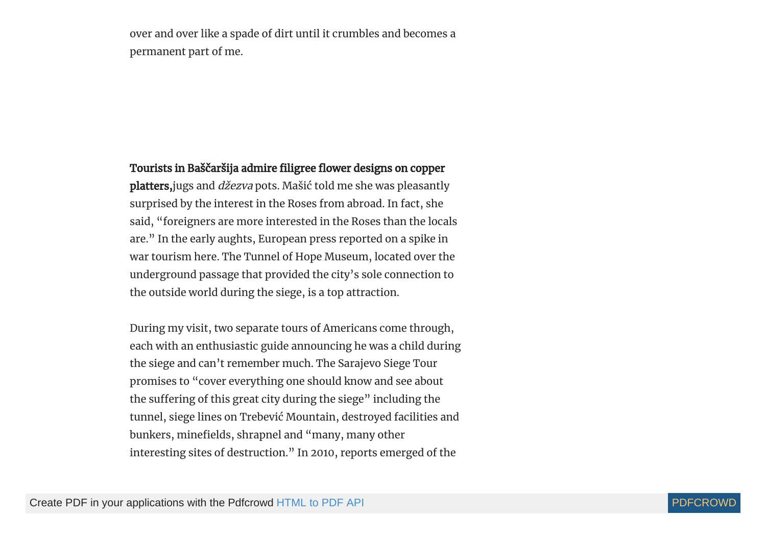over and over like a spade of dirt until it crumbles and becomes a permanent part of me.

## Tourists in Baščaršija admire filigree flower designs on copper

platters, jugs and *džezva* pots. Mašić told me she was pleasantly surprised by the interest in the Roses from abroad. In fact, she said, "foreigners are more interested in the Roses than the locals are." In the early aughts, European press reported on a spike in war tourism here. The Tunnel of Hope Museum, located over the underground passage that provided the city's sole connection to the outside world during the siege, is a top attraction.

During my visit, two separate tours of Americans come through, each with an enthusiastic guide announcing he was a child during the siege and can't remember much. The Sarajevo Siege Tour promises to "cover everything one should know and see about the suffering of this great city during the siege" including the tunnel, siege lines on Trebević Mountain, destroyed facilities and bunkers, minefields, shrapnel and "many, many other interesting sites of destruction." In 2010, reports emerged of the

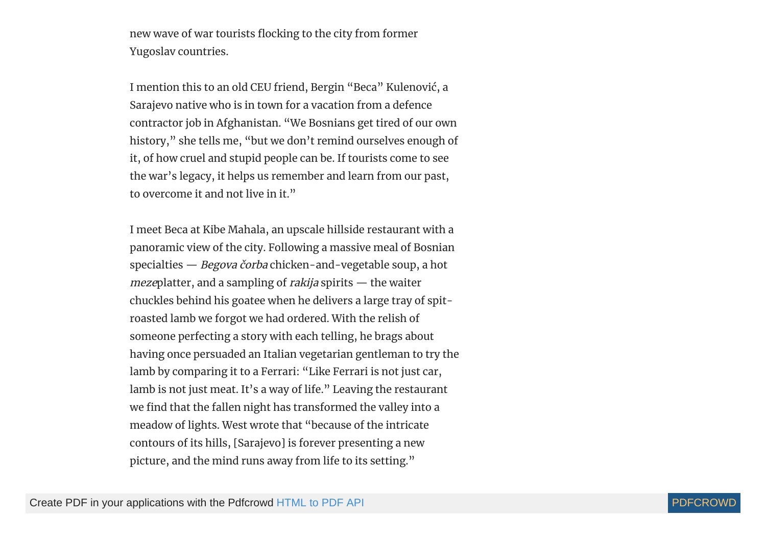new wave of war tourists flocking to the city from former Yugoslav countries.

I mention this to an old CEU friend, Bergin "Beca" Kulenović, a Sarajevo native who is in town for a vacation from a defence contractor job in Afghanistan. "We Bosnians get tired of our own history," she tells me, "but we don't remind ourselves enough of it, of how cruel and stupid people can be. If tourists come to see the war's legacy, it helps us remember and learn from our past, to overcome it and not live in it."

I meet Beca at Kibe Mahala, an upscale hillside restaurant with a panoramic view of the city. Following a massive meal of Bosnian specialties — Begova čorba chicken-and-vegetable soup, a hot mezeplatter, and a sampling of *rakija* spirits — the waiter chuckles behind his goatee when he delivers a large tray of spitroasted lamb we forgot we had ordered. With the relish of someone perfecting a story with each telling, he brags about having once persuaded an Italian vegetarian gentleman to try the lamb by comparing it to a Ferrari: "Like Ferrari is not just car, lamb is not just meat. It's a way of life." Leaving the restaurant we find that the fallen night has transformed the valley into a meadow of lights. West wrote that "because of the intricate contours of its hills, [Sarajevo] is forever presenting a new picture, and the mind runs away from life to its setting."

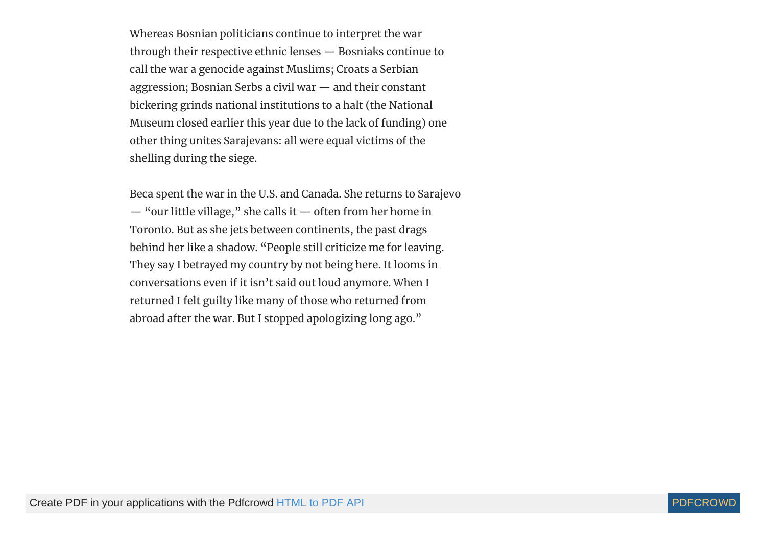Whereas Bosnian politicians continue to interpret the war through their respective ethnic lenses — Bosniaks continue to call the war a genocide against Muslims; Croats a Serbian aggression; Bosnian Serbs a civil war — and their constant bickering grinds national institutions to a halt (the National Museum closed earlier this year due to the lack of funding) one other thing unites Sarajevans: all were equal victims of the shelling during the siege.

Beca spent the war in the U.S. and Canada. She returns to Sarajevo — "our little village," she calls it — often from her home in Toronto. But as she jets between continents, the past drags behind her like a shadow. "People still criticize me for leaving. They say I betrayed my country by not being here. It looms in conversations even if it isn't said out loud anymore. When I returned I felt guilty like many of those who returned from abroad after the war. But I stopped apologizing long ago."

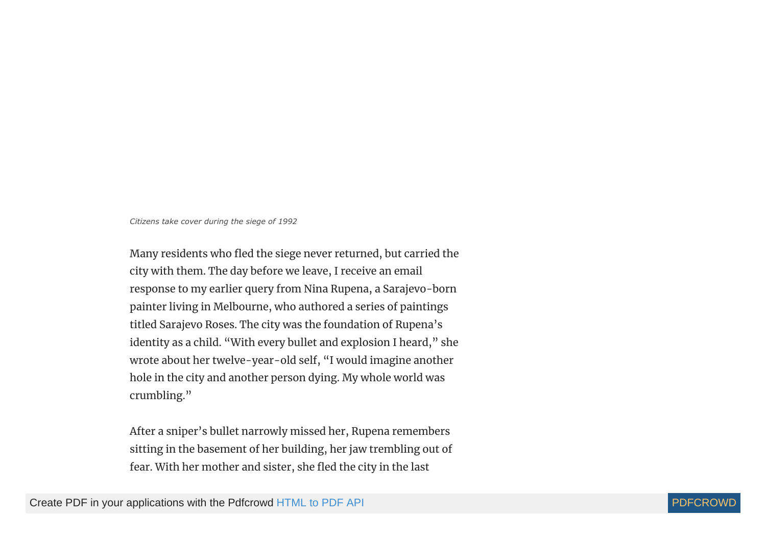*Citizens take cover during the siege of 1992*

Many residents who fled the siege never returned, but carried the city with them. The day before we leave, I receive an email response to my earlier query from Nina Rupena, a Sarajevo-born painter living in Melbourne, who authored a series of paintings titled Sarajevo Roses. The city was the foundation of Rupena's identity as a child. "With every bullet and explosion I heard," she wrote about her twelve-year-old self, "I would imagine another hole in the city and another person dying. My whole world was crumbling."

After a sniper's bullet narrowly missed her, Rupena remembers sitting in the basement of her building, her jaw trembling out of fear. With her mother and sister, she fled the city in the last

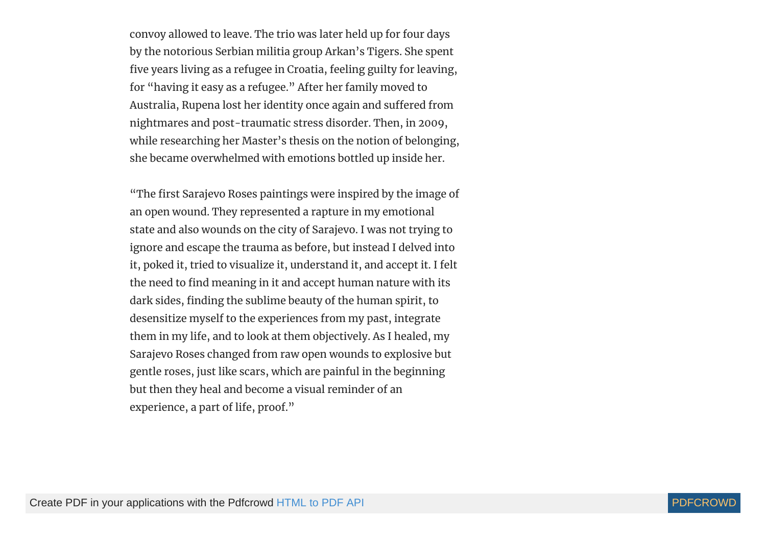convoy allowed to leave. The trio was later held up for four days by the notorious Serbian militia group Arkan's Tigers. She spent five years living as a refugee in Croatia, feeling guilty for leaving, for "having it easy as a refugee." After her family moved to Australia, Rupena lost her identity once again and suffered from nightmares and post-traumatic stress disorder. Then, in 2009, while researching her Master's thesis on the notion of belonging, she became overwhelmed with emotions bottled up inside her.

"The first Sarajevo Roses paintings were inspired by the image of an open wound. They represented a rapture in my emotional state and also wounds on the city of Sarajevo. I was not trying to ignore and escape the trauma as before, but instead I delved into it, poked it, tried to visualize it, understand it, and accept it. I felt the need to find meaning in it and accept human nature with its dark sides, finding the sublime beauty of the human spirit, to desensitize myself to the experiences from my past, integrate them in my life, and to look at them objectively. As I healed, my Sarajevo Roses changed from raw open wounds to explosive but gentle roses, just like scars, which are painful in the beginning but then they heal and become a visual reminder of an experience, a part of life, proof."

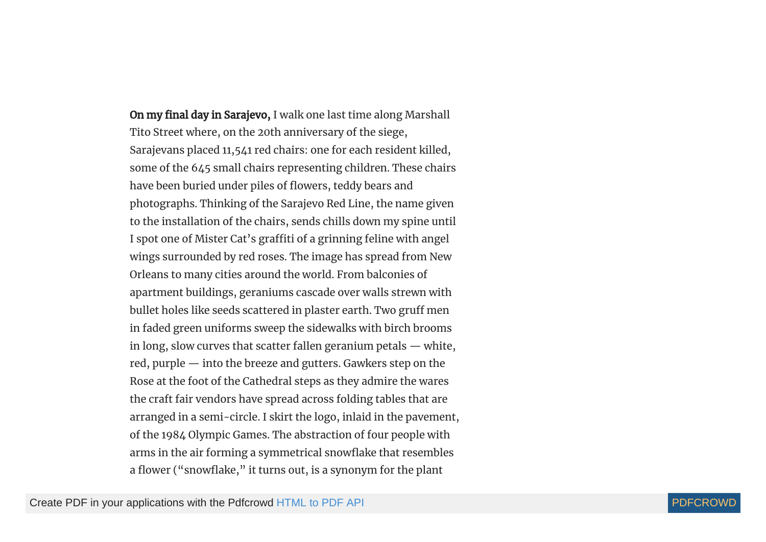On my final day in Sarajevo, I walk one last time along Marshall Tito Street where, on the 20th anniversary of the siege, Sarajevans placed 11,541 red chairs: one for each resident killed, some of the 645 small chairs representing children. These chairs have been buried under piles of flowers, teddy bears and photographs. Thinking of the Sarajevo Red Line, the name given to the installation of the chairs, sends chills down my spine until I spot one of Mister Cat's graffiti of a grinning feline with angel wings surrounded by red roses. The image has spread from New Orleans to many cities around the world. From balconies of apartment buildings, geraniums cascade over walls strewn with bullet holes like seeds scattered in plaster earth. Two gruff men in faded green uniforms sweep the sidewalks with birch brooms in long, slow curves that scatter fallen geranium petals — white, red, purple — into the breeze and gutters. Gawkers step on the Rose at the foot of the Cathedral steps as they admire the wares the craft fair vendors have spread across folding tables that are arranged in a semi-circle. I skirt the logo, inlaid in the pavement, of the 1984 Olympic Games. The abstraction of four people with arms in the air forming a symmetrical snowflake that resembles a flower ("snowflake," it turns out, is a synonym for the plant

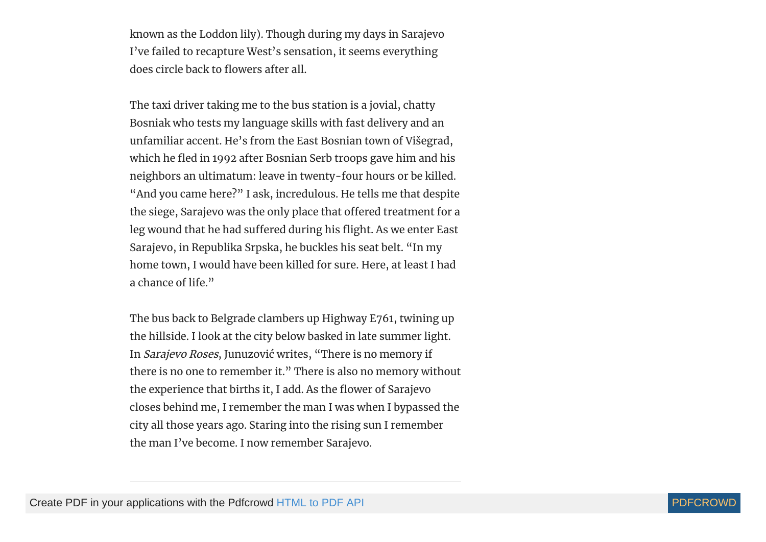known as the Loddon lily). Though during my days in Sarajevo I've failed to recapture West's sensation, it seems everything does circle back to flowers after all.

The taxi driver taking me to the bus station is a jovial, chatty Bosniak who tests my language skills with fast delivery and an unfamiliar accent. He's from the East Bosnian town of Višegrad, which he fled in 1992 after Bosnian Serb troops gave him and his neighbors an ultimatum: leave in twenty-four hours or be killed. "And you came here?" I ask, incredulous. He tells me that despite the siege, Sarajevo was the only place that offered treatment for a leg wound that he had suffered during his flight. As we enter East Sarajevo, in Republika Srpska, he buckles his seat belt. "In my home town, I would have been killed for sure. Here, at least I had a chance of life."

The bus back to Belgrade clambers up Highway E761, twining up the hillside. I look at the city below basked in late summer light. In Sarajevo Roses, Junuzović writes, "There is no memory if there is no one to remember it." There is also no memory without the experience that births it, I add. As the flower of Sarajevo closes behind me, I remember the man I was when I bypassed the city all those years ago. Staring into the rising sun I remember the man I've become. I now remember Sarajevo.

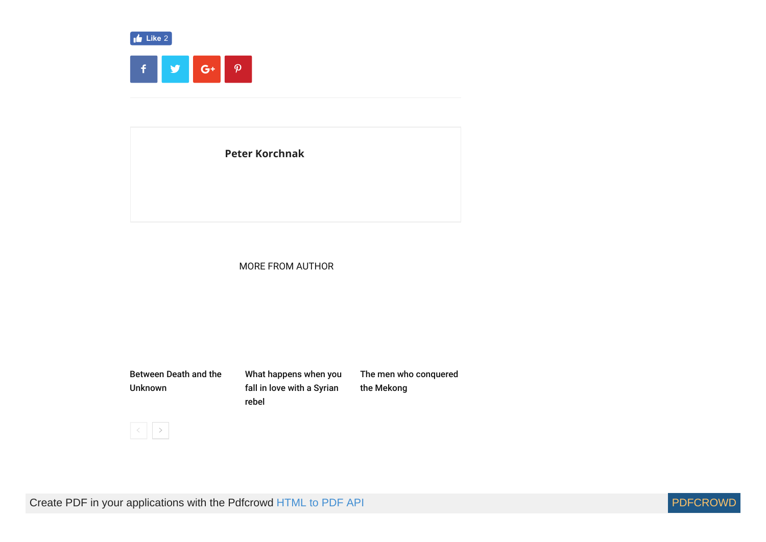

**[Peter Korchnak](https://compasscultura.com/author/peterkorchnak/)**

### **MORE FROM AUTHOR**

[Between Death and the](https://compasscultura.com/between-death-and-the-unknown/) Unknown [What happens when you](https://compasscultura.com/happens-fall-love-syrian-rebel/) fall in love with a Syrian rebel [The men who conquered](https://compasscultura.com/men-conquered-mekong/) the Mekong



Create PDF in your applications with the Pdfcrowd [HTML to PDF API](https://pdfcrowd.com/doc/api/?ref=pdf) [PDFCROWD](https://pdfcrowd.com/?ref=pdf) Create PDF in your applications with the Pdfcrowd HTML to PDF API

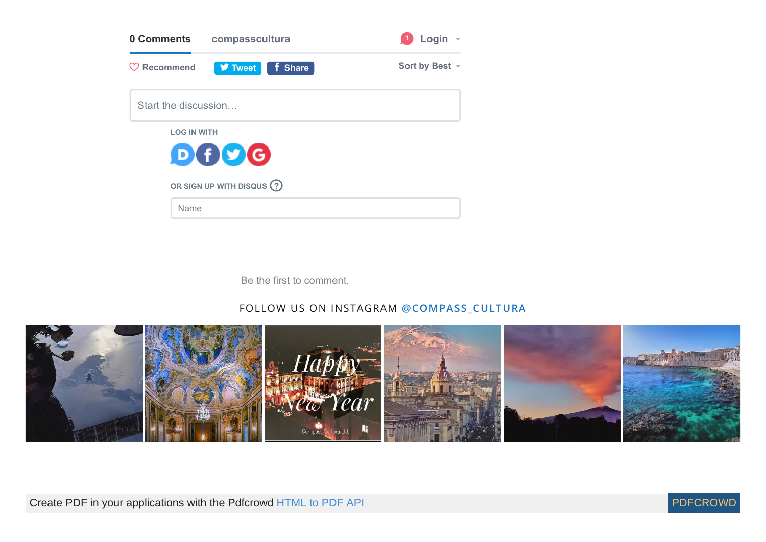| 0 Comments             | compasscultura             | Login          |
|------------------------|----------------------------|----------------|
| $\heartsuit$ Recommend | <b>V</b> Tweet<br>f Share  | Sort by Best ~ |
| Start the discussion   |                            |                |
| <b>LOG IN WITH</b>     |                            |                |
|                        | DOOG                       |                |
|                        | OR SIGN UP WITH DISQUS (?) |                |
| Name                   |                            |                |

Be the first to comment.

# FOLLOW US ON INSTAGRAM **[@COMPASS\\_CULTURA](https://www.instagram.com/compass_cultura)**



Create PDF in your applications with the Pdfcrowd [HTML to PDF API](https://pdfcrowd.com/doc/api/?ref=pdf) [PDFCROWD](https://pdfcrowd.com/?ref=pdf)